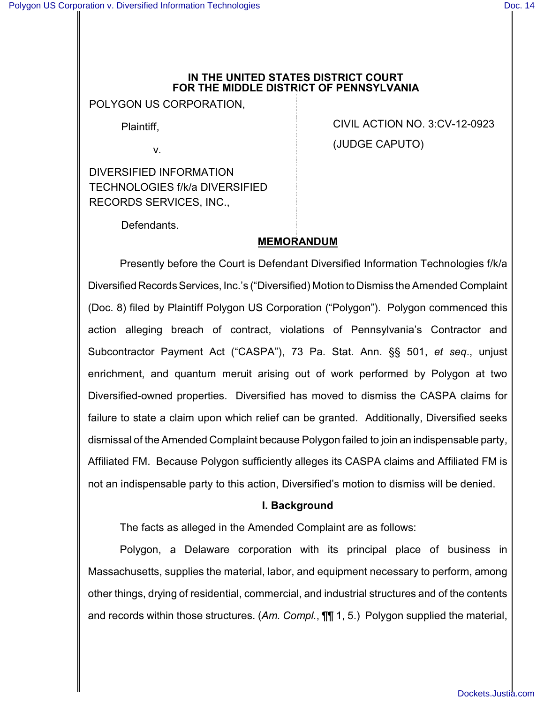#### **IN THE UNITED STATES DISTRICT COURT FOR THE MIDDLE DISTRICT OF PENNSYLVANIA**

POLYGON US CORPORATION,

Plaintiff,

v.

DIVERSIFIED INFORMATION TECHNOLOGIES f/k/a DIVERSIFIED RECORDS SERVICES, INC.,

CIVIL ACTION NO. 3:CV-12-0923 (JUDGE CAPUTO)

Defendants.

# **MEMORANDUM**

Presently before the Court is Defendant Diversified Information Technologies f/k/a Diversified Records Services, Inc.'s ("Diversified) Motion to Dismiss the Amended Complaint (Doc. 8) filed by Plaintiff Polygon US Corporation ("Polygon"). Polygon commenced this action alleging breach of contract, violations of Pennsylvania's Contractor and Subcontractor Payment Act ("CASPA"), 73 Pa. Stat. Ann. §§ 501, *et seq*., unjust enrichment, and quantum meruit arising out of work performed by Polygon at two Diversified-owned properties. Diversified has moved to dismiss the CASPA claims for failure to state a claim upon which relief can be granted. Additionally, Diversified seeks dismissal of the Amended Complaint because Polygon failed to join an indispensable party, Affiliated FM. Because Polygon sufficiently alleges its CASPA claims and Affiliated FM is not an indispensable party to this action, Diversified's motion to dismiss will be denied.

# **I. Background**

The facts as alleged in the Amended Complaint are as follows:

Polygon, a Delaware corporation with its principal place of business in Massachusetts, supplies the material, labor, and equipment necessary to perform, among other things, drying of residential, commercial, and industrial structures and of the contents and records within those structures. (*Am. Compl.*, ¶¶ 1, 5.) Polygon supplied the material,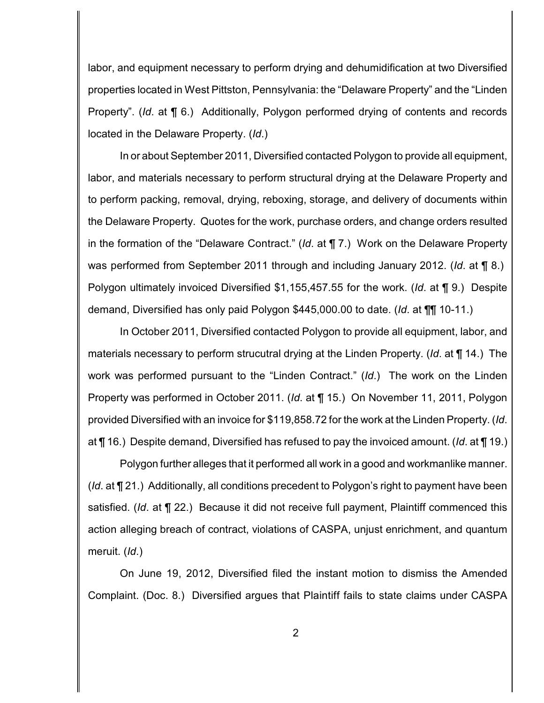labor, and equipment necessary to perform drying and dehumidification at two Diversified properties located in West Pittston, Pennsylvania: the "Delaware Property" and the "Linden Property". (*Id*. at ¶ 6.) Additionally, Polygon performed drying of contents and records located in the Delaware Property. (*Id*.)

In or about September 2011, Diversified contacted Polygon to provide all equipment, labor, and materials necessary to perform structural drying at the Delaware Property and to perform packing, removal, drying, reboxing, storage, and delivery of documents within the Delaware Property. Quotes for the work, purchase orders, and change orders resulted in the formation of the "Delaware Contract." (*Id*. at ¶ 7.) Work on the Delaware Property was performed from September 2011 through and including January 2012. (*Id*. at ¶ 8.) Polygon ultimately invoiced Diversified \$1,155,457.55 for the work. (*Id*. at ¶ 9.) Despite demand, Diversified has only paid Polygon \$445,000.00 to date. (*Id*. at ¶¶ 10-11.)

In October 2011, Diversified contacted Polygon to provide all equipment, labor, and materials necessary to perform strucutral drying at the Linden Property. (*Id*. at ¶ 14.) The work was performed pursuant to the "Linden Contract." (*Id*.) The work on the Linden Property was performed in October 2011. (*Id*. at ¶ 15.) On November 11, 2011, Polygon provided Diversified with an invoice for \$119,858.72 for the work at the Linden Property. (*Id*. at ¶ 16.) Despite demand, Diversified has refused to pay the invoiced amount. (*Id*. at ¶ 19.)

Polygon further alleges that it performed all work in a good and workmanlike manner. (*Id*. at ¶ 21.) Additionally, all conditions precedent to Polygon's right to payment have been satisfied. (*Id*. at ¶ 22.) Because it did not receive full payment, Plaintiff commenced this action alleging breach of contract, violations of CASPA, unjust enrichment, and quantum meruit. (*Id*.)

On June 19, 2012, Diversified filed the instant motion to dismiss the Amended Complaint. (Doc. 8.) Diversified argues that Plaintiff fails to state claims under CASPA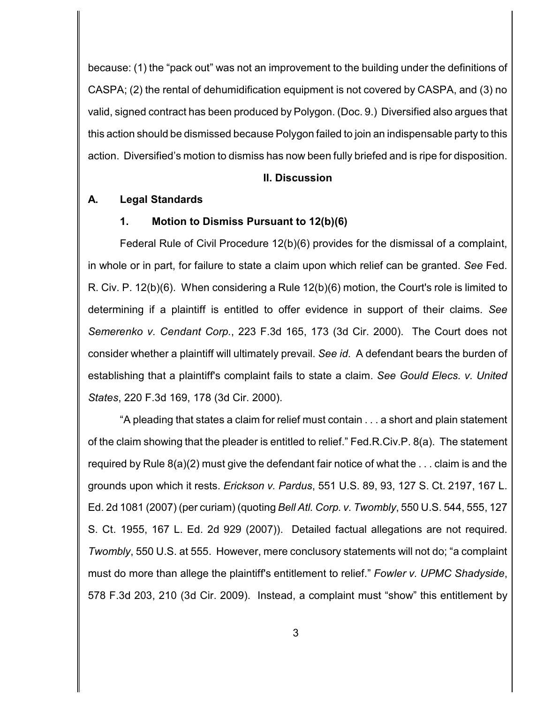because: (1) the "pack out" was not an improvement to the building under the definitions of CASPA; (2) the rental of dehumidification equipment is not covered by CASPA, and (3) no valid, signed contract has been produced by Polygon. (Doc. 9.) Diversified also argues that this action should be dismissed because Polygon failed to join an indispensable party to this action. Diversified's motion to dismiss has now been fully briefed and is ripe for disposition.

### **II. Discussion**

#### **A. Legal Standards**

#### **1. Motion to Dismiss Pursuant to 12(b)(6)**

Federal Rule of Civil Procedure 12(b)(6) provides for the dismissal of a complaint, in whole or in part, for failure to state a claim upon which relief can be granted. *See* Fed. R. Civ. P. 12(b)(6). When considering a Rule 12(b)(6) motion, the Court's role is limited to determining if a plaintiff is entitled to offer evidence in support of their claims. *See Semerenko v. Cendant Corp.*, 223 F.3d 165, 173 (3d Cir. 2000). The Court does not consider whether a plaintiff will ultimately prevail. *See id*. A defendant bears the burden of establishing that a plaintiff's complaint fails to state a claim. *See Gould Elecs. v. United States*, 220 F.3d 169, 178 (3d Cir. 2000).

"A pleading that states a claim for relief must contain . . . a short and plain statement of the claim showing that the pleader is entitled to relief." Fed.R.Civ.P. 8(a). The statement required by Rule 8(a)(2) must give the defendant fair notice of what the . . . claim is and the grounds upon which it rests. *Erickson v. Pardus*, 551 U.S. 89, 93, 127 S. Ct. 2197, 167 L. Ed. 2d 1081 (2007) (per curiam) (quoting *Bell Atl. Corp. v. Twombly*, 550 U.S. 544, 555, 127 S. Ct. 1955, 167 L. Ed. 2d 929 (2007)). Detailed factual allegations are not required. *Twombly*, 550 U.S. at 555. However, mere conclusory statements will not do; "a complaint must do more than allege the plaintiff's entitlement to relief." *Fowler v. UPMC Shadyside*, 578 F.3d 203, 210 (3d Cir. 2009). Instead, a complaint must "show" this entitlement by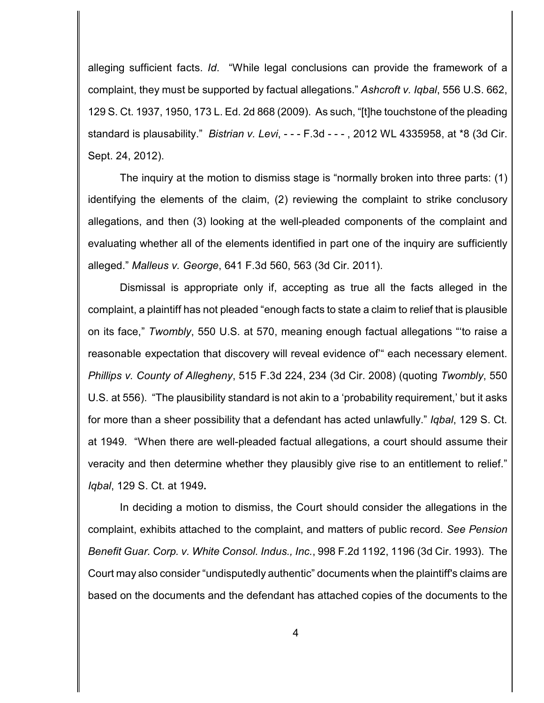alleging sufficient facts. *Id*. "While legal conclusions can provide the framework of a complaint, they must be supported by factual allegations." *Ashcroft v. Iqbal*, 556 U.S. 662, 129 S. Ct. 1937, 1950, 173 L. Ed. 2d 868 (2009). As such, "[t]he touchstone of the pleading standard is plausability." *Bistrian v. Levi*, - - - F.3d - - - , 2012 WL 4335958, at \*8 (3d Cir. Sept. 24, 2012).

The inquiry at the motion to dismiss stage is "normally broken into three parts: (1) identifying the elements of the claim, (2) reviewing the complaint to strike conclusory allegations, and then (3) looking at the well-pleaded components of the complaint and evaluating whether all of the elements identified in part one of the inquiry are sufficiently alleged." *Malleus v. George*, 641 F.3d 560, 563 (3d Cir. 2011).

Dismissal is appropriate only if, accepting as true all the facts alleged in the complaint, a plaintiff has not pleaded "enough facts to state a claim to relief that is plausible on its face," *Twombly*, 550 U.S. at 570, meaning enough factual allegations "'to raise a reasonable expectation that discovery will reveal evidence of'" each necessary element. *Phillips v. County of Allegheny*, 515 F.3d 224, 234 (3d Cir. 2008) (quoting *Twombly*, 550 U.S. at 556). "The plausibility standard is not akin to a 'probability requirement,' but it asks for more than a sheer possibility that a defendant has acted unlawfully." *Iqbal*, 129 S. Ct. at 1949. "When there are well-pleaded factual allegations, a court should assume their veracity and then determine whether they plausibly give rise to an entitlement to relief." *Iqbal*, 129 S. Ct. at 1949**.**

In deciding a motion to dismiss, the Court should consider the allegations in the complaint, exhibits attached to the complaint, and matters of public record. *See Pension Benefit Guar. Corp. v. White Consol. Indus., Inc.*, 998 F.2d 1192, 1196 (3d Cir. 1993). The Court may also consider "undisputedly authentic" documents when the plaintiff's claims are based on the documents and the defendant has attached copies of the documents to the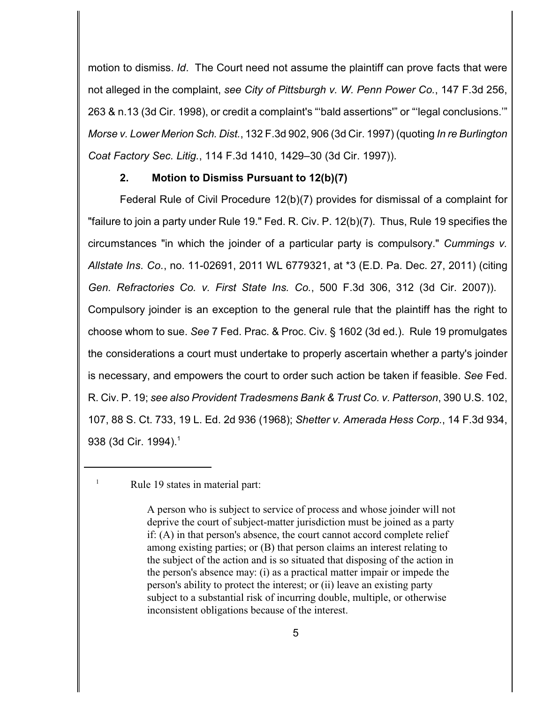motion to dismiss. *Id*. The Court need not assume the plaintiff can prove facts that were not alleged in the complaint, *see City of Pittsburgh v. W. Penn Power Co.*, 147 F.3d 256, 263 & n.13 (3d Cir. 1998), or credit a complaint's "'bald assertions'" or "'legal conclusions.'" *Morse v. Lower Merion Sch. Dist.*, 132 F.3d 902, 906 (3d Cir. 1997) (quoting *In re Burlington Coat Factory Sec. Litig.*, 114 F.3d 1410, 1429–30 (3d Cir. 1997)).

### **2. Motion to Dismiss Pursuant to 12(b)(7)**

Federal Rule of Civil Procedure 12(b)(7) provides for dismissal of a complaint for "failure to join a party under Rule 19." Fed. R. Civ. P. 12(b)(7). Thus, Rule 19 specifies the circumstances "in which the joinder of a particular party is compulsory." *Cummings v. Allstate Ins. Co.*, no. 11-02691, 2011 WL 6779321, at \*3 (E.D. Pa. Dec. 27, 2011) (citing *Gen. Refractories Co. v. First State Ins. Co.*, 500 F.3d 306, 312 (3d Cir. 2007)). Compulsory joinder is an exception to the general rule that the plaintiff has the right to choose whom to sue. *See* 7 Fed. Prac. & Proc. Civ. § 1602 (3d ed.). Rule 19 promulgates the considerations a court must undertake to properly ascertain whether a party's joinder is necessary, and empowers the court to order such action be taken if feasible. *See* Fed. R. Civ. P. 19; *see also Provident Tradesmens Bank & Trust Co. v. Patterson*, 390 U.S. 102, 107, 88 S. Ct. 733, 19 L. Ed. 2d 936 (1968); *Shetter v. Amerada Hess Corp.*, 14 F.3d 934, 938 (3d Cir. 1994).<sup>1</sup>

 $\mu$ <sup>1</sup> Rule 19 states in material part:

A person who is subject to service of process and whose joinder will not deprive the court of subject-matter jurisdiction must be joined as a party if: (A) in that person's absence, the court cannot accord complete relief among existing parties; or (B) that person claims an interest relating to the subject of the action and is so situated that disposing of the action in the person's absence may: (i) as a practical matter impair or impede the person's ability to protect the interest; or (ii) leave an existing party subject to a substantial risk of incurring double, multiple, or otherwise inconsistent obligations because of the interest.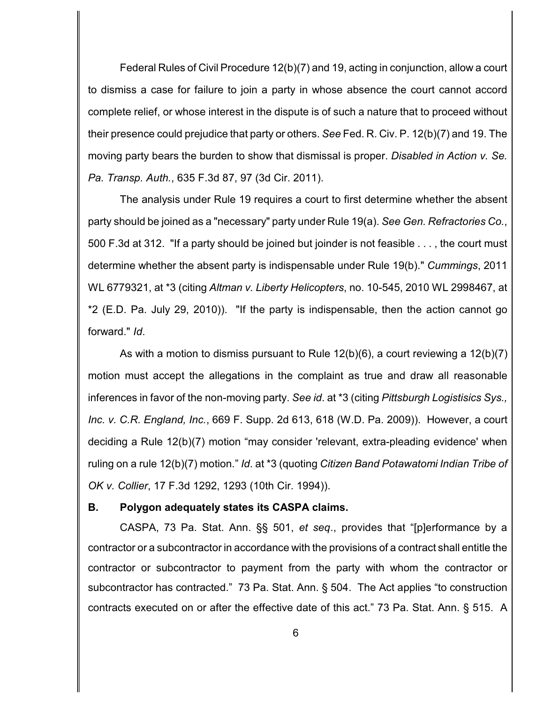Federal Rules of Civil Procedure 12(b)(7) and 19, acting in conjunction, allow a court to dismiss a case for failure to join a party in whose absence the court cannot accord complete relief, or whose interest in the dispute is of such a nature that to proceed without their presence could prejudice that party or others. *See* Fed. R. Civ. P. 12(b)(7) and 19. The moving party bears the burden to show that dismissal is proper. *Disabled in Action v. Se. Pa. Transp. Auth.*, 635 F.3d 87, 97 (3d Cir. 2011).

The analysis under Rule 19 requires a court to first determine whether the absent party should be joined as a "necessary" party under Rule 19(a). *See Gen. Refractories Co.*, 500 F.3d at 312. "If a party should be joined but joinder is not feasible . . . , the court must determine whether the absent party is indispensable under Rule 19(b)." *Cummings*, 2011 WL 6779321, at \*3 (citing *Altman v. Liberty Helicopters*, no. 10-545, 2010 WL 2998467, at \*2 (E.D. Pa. July 29, 2010)). "If the party is indispensable, then the action cannot go forward." *Id*.

As with a motion to dismiss pursuant to Rule 12(b)(6), a court reviewing a 12(b)(7) motion must accept the allegations in the complaint as true and draw all reasonable inferences in favor of the non-moving party. *See id*. at \*3 (citing *Pittsburgh Logistisics Sys., Inc. v. C.R. England, Inc.*, 669 F. Supp. 2d 613, 618 (W.D. Pa. 2009)). However, a court deciding a Rule 12(b)(7) motion "may consider 'relevant, extra-pleading evidence' when ruling on a rule 12(b)(7) motion." *Id*. at \*3 (quoting *Citizen Band Potawatomi Indian Tribe of OK v. Collier*, 17 F.3d 1292, 1293 (10th Cir. 1994)).

#### **B. Polygon adequately states its CASPA claims.**

CASPA, 73 Pa. Stat. Ann. §§ 501, *et seq*., provides that "[p]erformance by a contractor or a subcontractor in accordance with the provisions of a contract shall entitle the contractor or subcontractor to payment from the party with whom the contractor or subcontractor has contracted." 73 Pa. Stat. Ann. § 504. The Act applies "to construction contracts executed on or after the effective date of this act." 73 Pa. Stat. Ann. § 515. A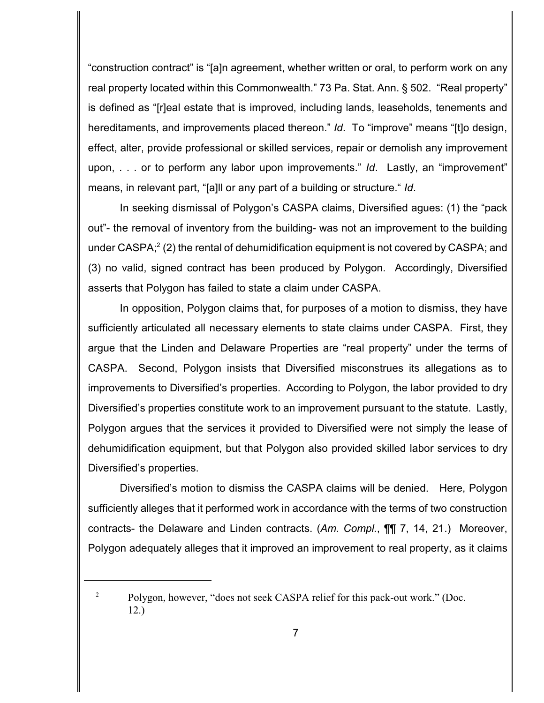"construction contract" is "[a]n agreement, whether written or oral, to perform work on any real property located within this Commonwealth." 73 Pa. Stat. Ann. § 502. "Real property" is defined as "[r]eal estate that is improved, including lands, leaseholds, tenements and hereditaments, and improvements placed thereon." *Id*. To "improve" means "[t]o design, effect, alter, provide professional or skilled services, repair or demolish any improvement upon, . . . or to perform any labor upon improvements." *Id*. Lastly, an "improvement" means, in relevant part, "[a]ll or any part of a building or structure." *Id*.

In seeking dismissal of Polygon's CASPA claims, Diversified agues: (1) the "pack out"- the removal of inventory from the building- was not an improvement to the building under CASPA;<sup>2</sup> (2) the rental of dehumidification equipment is not covered by CASPA; and (3) no valid, signed contract has been produced by Polygon. Accordingly, Diversified asserts that Polygon has failed to state a claim under CASPA.

In opposition, Polygon claims that, for purposes of a motion to dismiss, they have sufficiently articulated all necessary elements to state claims under CASPA. First, they argue that the Linden and Delaware Properties are "real property" under the terms of CASPA. Second, Polygon insists that Diversified misconstrues its allegations as to improvements to Diversified's properties. According to Polygon, the labor provided to dry Diversified's properties constitute work to an improvement pursuant to the statute. Lastly, Polygon argues that the services it provided to Diversified were not simply the lease of dehumidification equipment, but that Polygon also provided skilled labor services to dry Diversified's properties.

Diversified's motion to dismiss the CASPA claims will be denied. Here, Polygon sufficiently alleges that it performed work in accordance with the terms of two construction contracts- the Delaware and Linden contracts. (*Am. Compl.*, ¶¶ 7, 14, 21.) Moreover, Polygon adequately alleges that it improved an improvement to real property, as it claims

<sup>&</sup>lt;sup>2</sup> Polygon, however, "does not seek CASPA relief for this pack-out work." (Doc. 12.)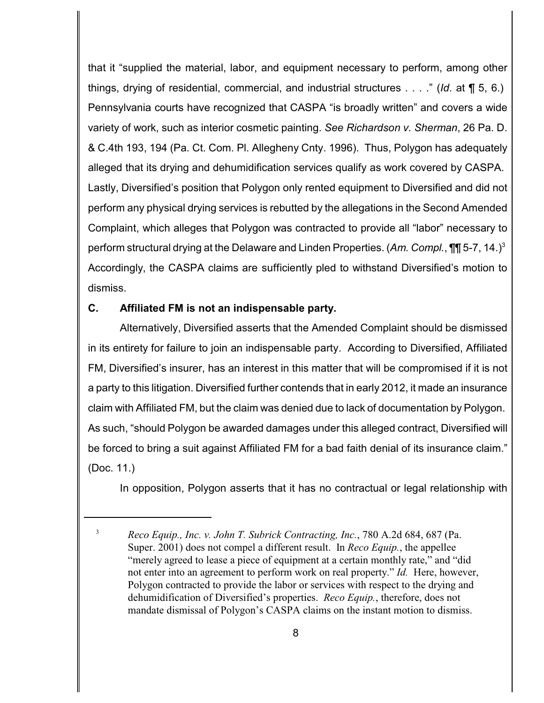that it "supplied the material, labor, and equipment necessary to perform, among other things, drying of residential, commercial, and industrial structures . . . ." (*Id*. at ¶ 5, 6.) Pennsylvania courts have recognized that CASPA "is broadly written" and covers a wide variety of work, such as interior cosmetic painting. *See Richardson v. Sherman*, 26 Pa. D. & C.4th 193, 194 (Pa. Ct. Com. Pl. Allegheny Cnty. 1996). Thus, Polygon has adequately alleged that its drying and dehumidification services qualify as work covered by CASPA. Lastly, Diversified's position that Polygon only rented equipment to Diversified and did not perform any physical drying services is rebutted by the allegations in the Second Amended Complaint, which alleges that Polygon was contracted to provide all "labor" necessary to perform structural drying at the Delaware and Linden Properties. (*Am. Compl.*, ¶¶ 5-7, 14.) 3 Accordingly, the CASPA claims are sufficiently pled to withstand Diversified's motion to dismiss.

# **C. Affiliated FM is not an indispensable party.**

Alternatively, Diversified asserts that the Amended Complaint should be dismissed in its entirety for failure to join an indispensable party. According to Diversified, Affiliated FM, Diversified's insurer, has an interest in this matter that will be compromised if it is not a party to this litigation. Diversified further contends that in early 2012, it made an insurance claim with Affiliated FM, but the claim was denied due to lack of documentation by Polygon. As such, "should Polygon be awarded damages under this alleged contract, Diversified will be forced to bring a suit against Affiliated FM for a bad faith denial of its insurance claim." (Doc. 11.)

In opposition, Polygon asserts that it has no contractual or legal relationship with

<sup>&</sup>lt;sup>3</sup> *Reco Equip., Inc. v. John T. Subrick Contracting, Inc., 780 A.2d 684, 687 (Pa.* Super. 2001) does not compel a different result. In *Reco Equip.*, the appellee "merely agreed to lease a piece of equipment at a certain monthly rate," and "did not enter into an agreement to perform work on real property." *Id.* Here, however, Polygon contracted to provide the labor or services with respect to the drying and dehumidification of Diversified's properties. *Reco Equip.*, therefore, does not mandate dismissal of Polygon's CASPA claims on the instant motion to dismiss.